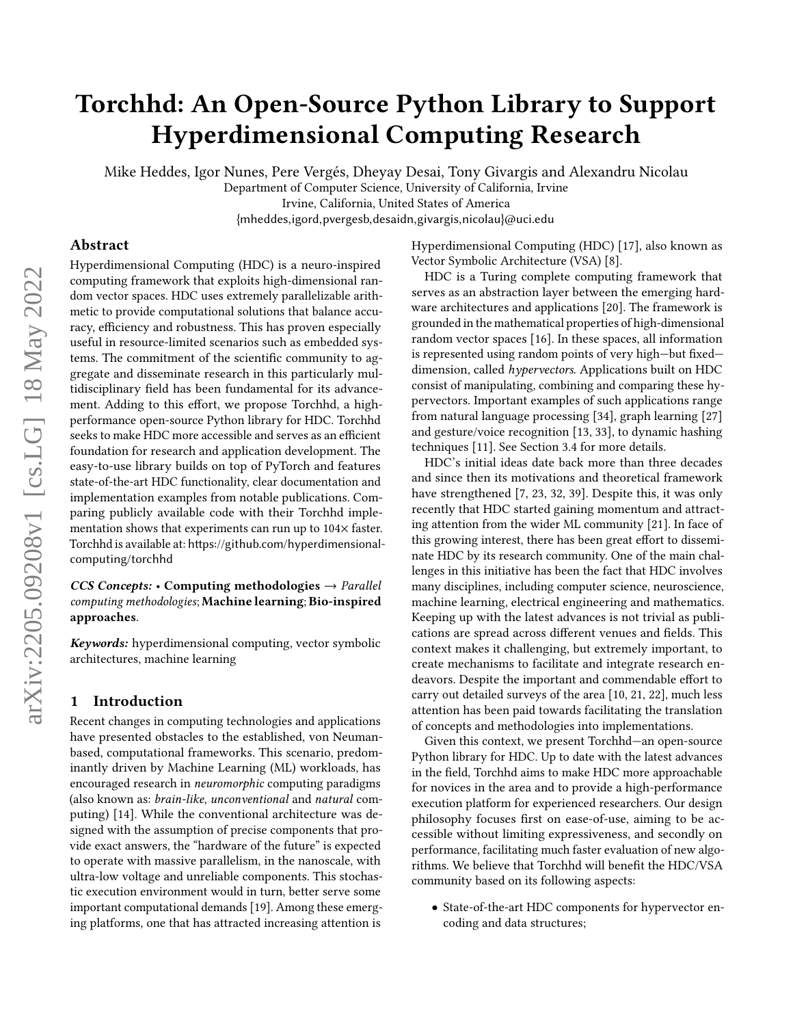# Torchhd: An Open-Source Python Library to Support Hyperdimensional Computing Research

Mike Heddes, Igor Nunes, Pere Vergés, Dheyay Desai, Tony Givargis and Alexandru Nicolau

Department of Computer Science, University of California, Irvine Irvine, California, United States of America

{mheddes,igord,pvergesb,desaidn,givargis,nicolau}@uci.edu

# Abstract

Hyperdimensional Computing (HDC) is a neuro-inspired computing framework that exploits high-dimensional random vector spaces. HDC uses extremely parallelizable arithmetic to provide computational solutions that balance accuracy, efficiency and robustness. This has proven especially useful in resource-limited scenarios such as embedded systems. The commitment of the scientific community to aggregate and disseminate research in this particularly multidisciplinary field has been fundamental for its advancement. Adding to this effort, we propose Torchhd, a highperformance open-source Python library for HDC. Torchhd seeks to make HDC more accessible and serves as an efficient foundation for research and application development. The easy-to-use library builds on top of PyTorch and features state-of-the-art HDC functionality, clear documentation and implementation examples from notable publications. Comparing publicly available code with their Torchhd implementation shows that experiments can run up to 104× faster. Torchhd is available at: [https://github.com/hyperdimensional](https://github.com/hyperdimensional-computing/torchhd)[computing/torchhd](https://github.com/hyperdimensional-computing/torchhd)

# $CCS$  Concepts: • Computing methodologies  $\rightarrow$  Parallel computing methodologies; Machine learning; Bio-inspired approaches.

Keywords: hyperdimensional computing, vector symbolic architectures, machine learning

# 1 Introduction

Recent changes in computing technologies and applications have presented obstacles to the established, von Neumanbased, computational frameworks. This scenario, predominantly driven by Machine Learning (ML) workloads, has encouraged research in neuromorphic computing paradigms (also known as: brain-like, unconventional and natural computing) [\[14\]](#page-8-0). While the conventional architecture was designed with the assumption of precise components that provide exact answers, the "hardware of the future" is expected to operate with massive parallelism, in the nanoscale, with ultra-low voltage and unreliable components. This stochastic execution environment would in turn, better serve some important computational demands [\[19\]](#page-8-1). Among these emerging platforms, one that has attracted increasing attention is

Hyperdimensional Computing (HDC) [\[17\]](#page-8-2), also known as Vector Symbolic Architecture (VSA) [\[8\]](#page-8-3).

HDC is a Turing complete computing framework that serves as an abstraction layer between the emerging hardware architectures and applications [\[20\]](#page-8-4). The framework is grounded in the mathematical properties of high-dimensional random vector spaces [\[16\]](#page-8-5). In these spaces, all information is represented using random points of very high—but fixed dimension, called hypervectors. Applications built on HDC consist of manipulating, combining and comparing these hypervectors. Important examples of such applications range from natural language processing [\[34\]](#page-8-6), graph learning [\[27\]](#page-8-7) and gesture/voice recognition [\[13,](#page-8-8) [33\]](#page-8-9), to dynamic hashing techniques [\[11\]](#page-8-10). See Section [3.4](#page-6-0) for more details.

HDC's initial ideas date back more than three decades and since then its motivations and theoretical framework have strengthened [\[7,](#page-8-11) [23,](#page-8-12) [32,](#page-8-13) [39\]](#page-8-14). Despite this, it was only recently that HDC started gaining momentum and attracting attention from the wider ML community [\[21\]](#page-8-15). In face of this growing interest, there has been great effort to disseminate HDC by its research community. One of the main challenges in this initiative has been the fact that HDC involves many disciplines, including computer science, neuroscience, machine learning, electrical engineering and mathematics. Keeping up with the latest advances is not trivial as publications are spread across different venues and fields. This context makes it challenging, but extremely important, to create mechanisms to facilitate and integrate research endeavors. Despite the important and commendable effort to carry out detailed surveys of the area [\[10,](#page-8-16) [21,](#page-8-15) [22\]](#page-8-17), much less attention has been paid towards facilitating the translation of concepts and methodologies into implementations.

Given this context, we present Torchhd—an open-source Python library for HDC. Up to date with the latest advances in the field, Torchhd aims to make HDC more approachable for novices in the area and to provide a high-performance execution platform for experienced researchers. Our design philosophy focuses first on ease-of-use, aiming to be accessible without limiting expressiveness, and secondly on performance, facilitating much faster evaluation of new algorithms. We believe that Torchhd will benefit the HDC/VSA community based on its following aspects:

• State-of-the-art HDC components for hypervector encoding and data structures;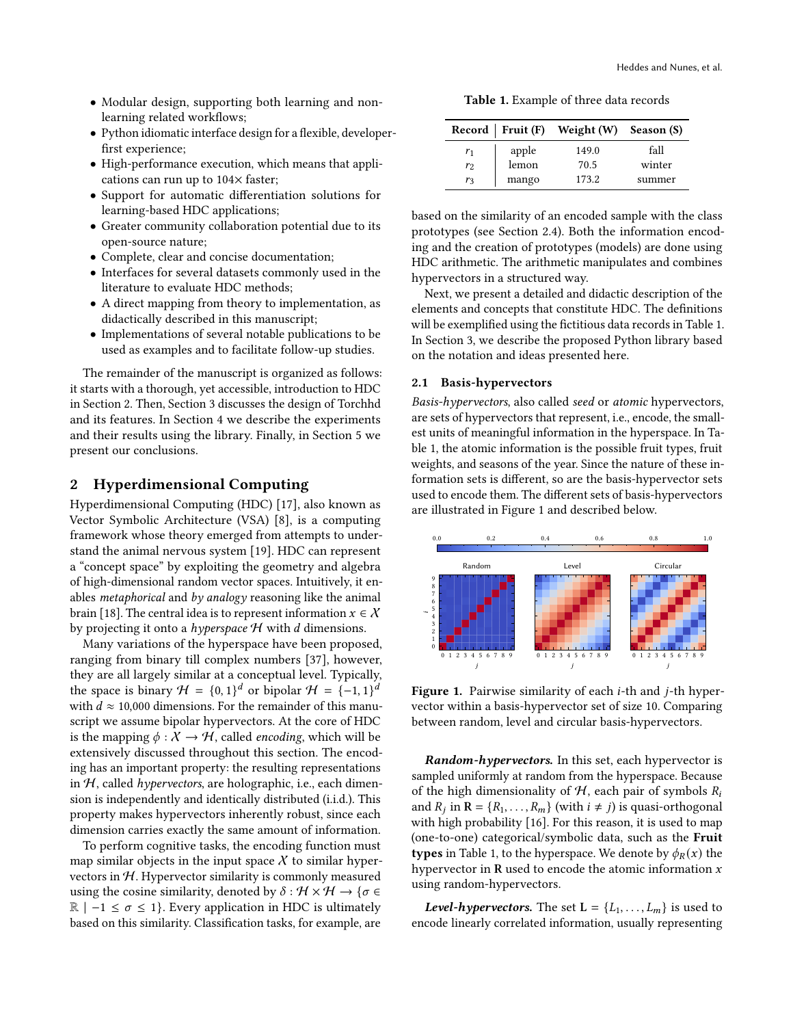- Modular design, supporting both learning and nonlearning related workflows;
- Python idiomatic interface design for a flexible, developerfirst experience;
- High-performance execution, which means that applications can run up to 104× faster;
- Support for automatic differentiation solutions for learning-based HDC applications;
- Greater community collaboration potential due to its open-source nature;
- Complete, clear and concise documentation;
- Interfaces for several datasets commonly used in the literature to evaluate HDC methods;
- A direct mapping from theory to implementation, as didactically described in this manuscript;
- Implementations of several notable publications to be used as examples and to facilitate follow-up studies.

The remainder of the manuscript is organized as follows: it starts with a thorough, yet accessible, introduction to HDC in Section [2.](#page-1-0) Then, Section [3](#page-3-0) discusses the design of Torchhd and its features. In Section [4](#page-6-1) we describe the experiments and their results using the library. Finally, in Section [5](#page-7-0) we present our conclusions.

# <span id="page-1-0"></span>2 Hyperdimensional Computing

Hyperdimensional Computing (HDC) [\[17\]](#page-8-2), also known as Vector Symbolic Architecture (VSA) [\[8\]](#page-8-3), is a computing framework whose theory emerged from attempts to understand the animal nervous system [\[19\]](#page-8-1). HDC can represent a "concept space" by exploiting the geometry and algebra of high-dimensional random vector spaces. Intuitively, it enables metaphorical and by analogy reasoning like the animal brain [\[18\]](#page-8-18). The central idea is to represent information  $x \in \mathcal{X}$ by projecting it onto a *hyperspace*  $H$  with  $d$  dimensions.

Many variations of the hyperspace have been proposed, ranging from binary till complex numbers [\[37\]](#page-8-19), however, they are all largely similar at a conceptual level. Typically, the space is binary  $\mathcal{H} = \{0, 1\}^d$  or bipolar  $\mathcal{H} = \{-1, 1\}^d$ with  $d \approx 10,000$  dimensions. For the remainder of this manuscript we assume bipolar hypervectors. At the core of HDC is the mapping  $\phi : X \to \mathcal{H}$ , called *encoding*, which will be extensively discussed throughout this section. The encoding has an important property: the resulting representations in  $H$ , called hypervectors, are holographic, i.e., each dimension is independently and identically distributed (i.i.d.). This property makes hypervectors inherently robust, since each dimension carries exactly the same amount of information.

To perform cognitive tasks, the encoding function must map similar objects in the input space  $\chi$  to similar hypervectors in  $H$ . Hypervector similarity is commonly measured using the cosine similarity, denoted by  $\delta : \mathcal{H} \times \mathcal{H} \rightarrow \{ \sigma \in \mathcal{H} \}$  $\mathbb{R}$  | −1 ≤  $\sigma$  ≤ 1}. Every application in HDC is ultimately based on this similarity. Classification tasks, for example, are

Table 1. Example of three data records

<span id="page-1-1"></span>

|                |       | Record   Fruit (F) Weight (W) Season (S) |        |
|----------------|-------|------------------------------------------|--------|
| r <sub>1</sub> | apple | 149.0                                    | fall   |
| r <sub>2</sub> | lemon | 70.5                                     | winter |
| r3             | mango | 173.2                                    | summer |

based on the similarity of an encoded sample with the class prototypes (see Section [2.4\)](#page-3-1). Both the information encoding and the creation of prototypes (models) are done using HDC arithmetic. The arithmetic manipulates and combines hypervectors in a structured way.

Next, we present a detailed and didactic description of the elements and concepts that constitute HDC. The definitions will be exemplified using the fictitious data records in Table [1.](#page-1-1) In Section [3,](#page-3-0) we describe the proposed Python library based on the notation and ideas presented here.

## <span id="page-1-3"></span>2.1 Basis-hypervectors

Basis-hypervectors, also called seed or atomic hypervectors, are sets of hypervectors that represent, i.e., encode, the smallest units of meaningful information in the hyperspace. In Table [1,](#page-1-1) the atomic information is the possible fruit types, fruit weights, and seasons of the year. Since the nature of these information sets is different, so are the basis-hypervector sets used to encode them. The different sets of basis-hypervectors are illustrated in Figure [1](#page-1-2) and described below.

<span id="page-1-2"></span>

Figure 1. Pairwise similarity of each  $i$ -th and  $j$ -th hypervector within a basis-hypervector set of size 10. Comparing between random, level and circular basis-hypervectors.

Random-hypervectors. In this set, each hypervector is sampled uniformly at random from the hyperspace. Because of the high dimensionality of  $H$ , each pair of symbols  $R_i$ and  $R_j$  in  $\mathbf{R} = \{R_1, \ldots, R_m\}$  (with  $i \neq j$ ) is quasi-orthogonal with high probability [\[16\]](#page-8-5). For this reason, it is used to map (one-to-one) categorical/symbolic data, such as the Fruit types in Table [1,](#page-1-1) to the hyperspace. We denote by  $\phi_R(x)$  the hypervector in R used to encode the atomic information  $x$ using random-hypervectors.

**Level-hypervectors.** The set  $L = \{L_1, \ldots, L_m\}$  is used to encode linearly correlated information, usually representing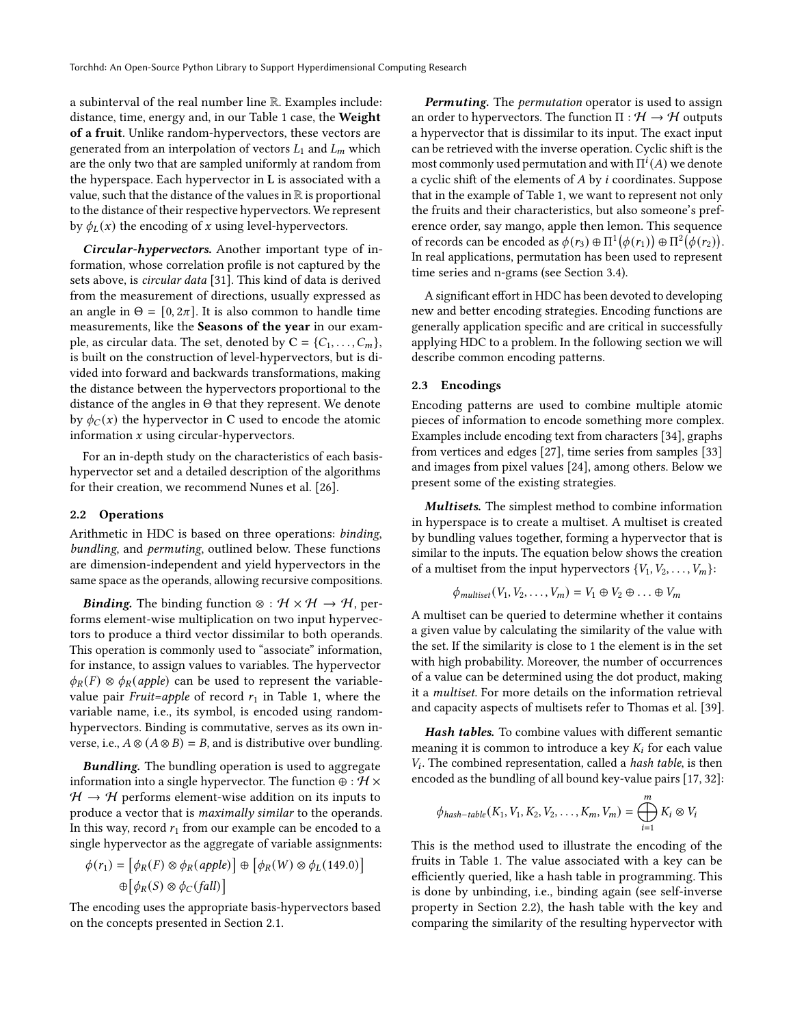a subinterval of the real number line R. Examples include: distance, time, energy and, in our Table 1 case, the Weight of a fruit. Unlike random-hypervectors, these vectors are generated from an interpolation of vectors  $L_1$  and  $L_m$  which are the only two that are sampled uniformly at random from the hyperspace. Each hypervector in L is associated with a value, such that the distance of the values in  $\mathbb R$  is proportional to the distance of their respective hypervectors. We represent by  $\phi_L(x)$  the encoding of x using level-hypervectors.

Circular-hypervectors. Another important type of information, whose correlation profile is not captured by the sets above, is circular data [\[31\]](#page-8-20). This kind of data is derived from the measurement of directions, usually expressed as an angle in  $\Theta = [0, 2\pi]$ . It is also common to handle time measurements, like the Seasons of the year in our example, as circular data. The set, denoted by  $C = \{C_1, \ldots, C_m\}$ , is built on the construction of level-hypervectors, but is divided into forward and backwards transformations, making the distance between the hypervectors proportional to the distance of the angles in Θ that they represent. We denote by  $\phi_C(x)$  the hypervector in C used to encode the atomic information  $x$  using circular-hypervectors.

For an in-depth study on the characteristics of each basishypervector set and a detailed description of the algorithms for their creation, we recommend Nunes et al. [\[26\]](#page-8-21).

## <span id="page-2-0"></span>2.2 Operations

Arithmetic in HDC is based on three operations: binding, bundling, and permuting, outlined below. These functions are dimension-independent and yield hypervectors in the same space as the operands, allowing recursive compositions.

**Binding.** The binding function ⊗ :  $H \times H \rightarrow H$ , performs element-wise multiplication on two input hypervectors to produce a third vector dissimilar to both operands. This operation is commonly used to "associate" information, for instance, to assign values to variables. The hypervector  $\phi_R(F) \otimes \phi_R(apple)$  can be used to represent the variablevalue pair Fruit=apple of record  $r_1$  in Table [1,](#page-1-1) where the variable name, i.e., its symbol, is encoded using randomhypervectors. Binding is commutative, serves as its own inverse, i.e.,  $A \otimes (A \otimes B) = B$ , and is distributive over bundling.

**Bundling.** The bundling operation is used to aggregate information into a single hypervector. The function  $\oplus : \mathcal{H} \times$  $H \rightarrow H$  performs element-wise addition on its inputs to produce a vector that is maximally similar to the operands. In this way, record  $r_1$  from our example can be encoded to a single hypervector as the aggregate of variable assignments:

$$
\phi(r_1) = [\phi_R(F) \otimes \phi_R(apple)] \oplus [\phi_R(W) \otimes \phi_L(149.0)]
$$
  

$$
\oplus [\phi_R(S) \otimes \phi_C(fall)]
$$

The encoding uses the appropriate basis-hypervectors based on the concepts presented in Section [2.1.](#page-1-3)

**Permuting.** The *permutation* operator is used to assign an order to hypervectors. The function  $\Pi : \mathcal{H} \to \mathcal{H}$  outputs a hypervector that is dissimilar to its input. The exact input can be retrieved with the inverse operation. Cyclic shift is the most commonly used permutation and with  $\Pi^{i}(A)$  we denote a cyclic shift of the elements of  $A$  by  $i$  coordinates. Suppose that in the example of Table 1, we want to represent not only the fruits and their characteristics, but also someone's preference order, say mango, apple then lemon. This sequence of records can be encoded as  $\phi(r_3) \oplus \Pi^1(\phi(r_1)) \oplus \Pi^2(\phi(r_2)).$ In real applications, permutation has been used to represent time series and n-grams (see Section [3.4\)](#page-6-0).

A significant effort in HDC has been devoted to developing new and better encoding strategies. Encoding functions are generally application specific and are critical in successfully applying HDC to a problem. In the following section we will describe common encoding patterns.

## <span id="page-2-1"></span>2.3 Encodings

Encoding patterns are used to combine multiple atomic pieces of information to encode something more complex. Examples include encoding text from characters [\[34\]](#page-8-6), graphs from vertices and edges [\[27\]](#page-8-7), time series from samples [\[33\]](#page-8-9) and images from pixel values [\[24\]](#page-8-22), among others. Below we present some of the existing strategies.

Multisets. The simplest method to combine information in hyperspace is to create a multiset. A multiset is created by bundling values together, forming a hypervector that is similar to the inputs. The equation below shows the creation of a multiset from the input hypervectors  $\{V_1, V_2, \ldots, V_m\}$ :

$$
\phi_{multiset}(V_1, V_2, \ldots, V_m) = V_1 \oplus V_2 \oplus \ldots \oplus V_m
$$

A multiset can be queried to determine whether it contains a given value by calculating the similarity of the value with the set. If the similarity is close to 1 the element is in the set with high probability. Moreover, the number of occurrences of a value can be determined using the dot product, making it a multiset. For more details on the information retrieval and capacity aspects of multisets refer to Thomas et al. [\[39\]](#page-8-14).

Hash tables. To combine values with different semantic meaning it is common to introduce a key  $K_i$  for each value  $V_i$ . The combined representation, called a hash table, is then encoded as the bundling of all bound key-value pairs [\[17,](#page-8-2) [32\]](#page-8-13):

$$
\phi_{hash-table}(K_1, V_1, K_2, V_2, \dots, K_m, V_m) = \bigoplus_{i=1}^m K_i \otimes V_i
$$

This is the method used to illustrate the encoding of the fruits in Table [1.](#page-1-1) The value associated with a key can be efficiently queried, like a hash table in programming. This is done by unbinding, i.e., binding again (see self-inverse property in Section [2.2\)](#page-2-0), the hash table with the key and comparing the similarity of the resulting hypervector with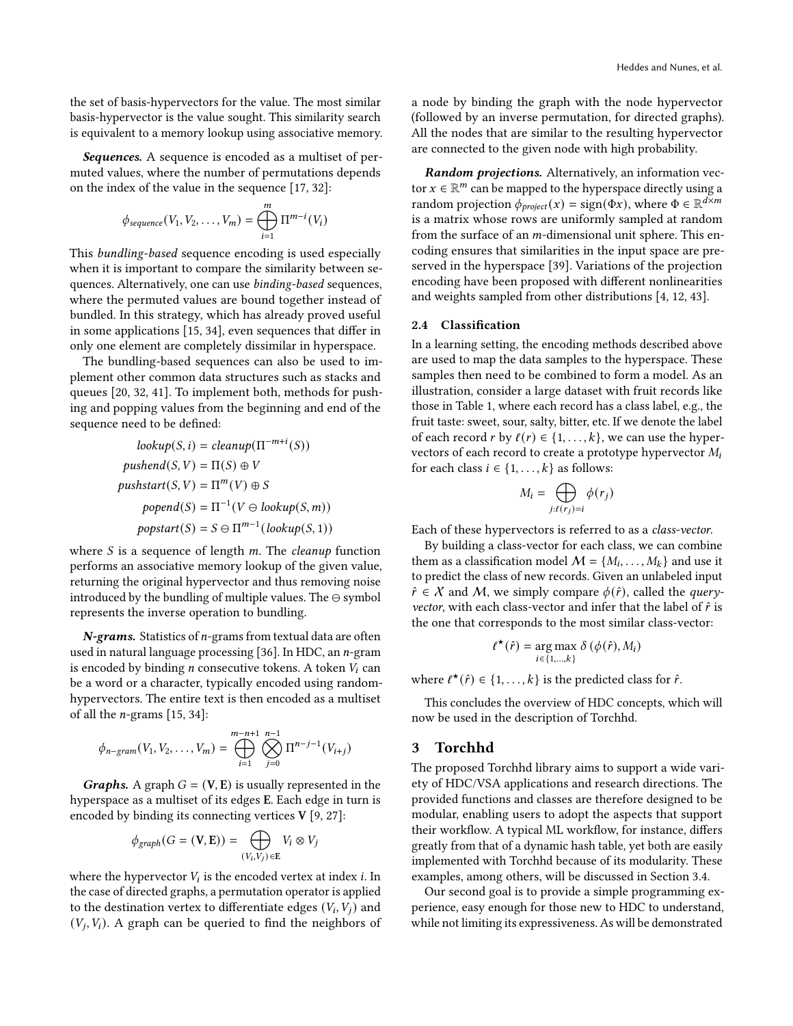the set of basis-hypervectors for the value. The most similar basis-hypervector is the value sought. This similarity search is equivalent to a memory lookup using associative memory.

Sequences. A sequence is encoded as a multiset of permuted values, where the number of permutations depends on the index of the value in the sequence [\[17,](#page-8-2) [32\]](#page-8-13):

$$
\phi_{sequence}(V_1, V_2, \dots, V_m) = \bigoplus_{i=1}^m \Pi^{m-i}(V_i)
$$

This bundling-based sequence encoding is used especially when it is important to compare the similarity between sequences. Alternatively, one can use binding-based sequences, where the permuted values are bound together instead of bundled. In this strategy, which has already proved useful in some applications [\[15,](#page-8-23) [34\]](#page-8-6), even sequences that differ in only one element are completely dissimilar in hyperspace.

The bundling-based sequences can also be used to implement other common data structures such as stacks and queues [\[20,](#page-8-4) [32,](#page-8-13) [41\]](#page-8-24). To implement both, methods for pushing and popping values from the beginning and end of the sequence need to be defined:

$$
lookup(S, i) = cleanup(\Pi^{-m+i}(S))
$$
  
pushsend(S, V) = \Pi(S) \oplus V  
pushstart(S, V) = \Pi^m(V) \oplus S  
popend(S) = \Pi^{-1}(V \ominus lookup(S, m))  
popstart(S) = S \ominus \Pi^{m-1}(lookup(S, 1))

where  $S$  is a sequence of length  $m$ . The *cleanup* function performs an associative memory lookup of the given value, returning the original hypervector and thus removing noise introduced by the bundling of multiple values. The ⊖ symbol represents the inverse operation to bundling.

 $N-grams.$  Statistics of  $n-grams$  from textual data are often used in natural language processing [\[36\]](#page-8-25). In HDC, an  $n$ -gram is encoded by binding  $n$  consecutive tokens. A token  $V_i$  can be a word or a character, typically encoded using randomhypervectors. The entire text is then encoded as a multiset of all the *n*-grams  $[15, 34]$  $[15, 34]$ :

$$
\phi_{n-gram}(V_1, V_2, \dots, V_m) = \bigoplus_{i=1}^{m-n+1} \bigotimes_{j=0}^{n-1} \Pi^{n-j-1}(V_{i+j})
$$

**Graphs.** A graph  $G = (V, E)$  is usually represented in the hyperspace as a multiset of its edges E. Each edge in turn is encoded by binding its connecting vertices V [\[9,](#page-8-26) [27\]](#page-8-7):

$$
\phi_{graph}(G = (\mathbf{V}, \mathbf{E})) = \bigoplus_{(V_i, V_j) \in \mathbf{E}} V_i \otimes V_j
$$

where the hypervector  $V_i$  is the encoded vertex at index  $i$ . In the case of directed graphs, a permutation operator is applied to the destination vertex to differentiate edges  $(V_i, V_j)$  and  $(V_j, V_i)$ . A graph can be queried to find the neighbors of a node by binding the graph with the node hypervector (followed by an inverse permutation, for directed graphs). All the nodes that are similar to the resulting hypervector are connected to the given node with high probability.

Random projections. Alternatively, an information vector  $x \in \mathbb{R}^m$  can be mapped to the hyperspace directly using a random projection  $\phi_{project}(x) = sign(\Phi x)$ , where  $\Phi \in \mathbb{R}^{d \times m}$ is a matrix whose rows are uniformly sampled at random from the surface of an  $m$ -dimensional unit sphere. This encoding ensures that similarities in the input space are preserved in the hyperspace [\[39\]](#page-8-14). Variations of the projection encoding have been proposed with different nonlinearities and weights sampled from other distributions [\[4,](#page-8-27) [12,](#page-8-28) [43\]](#page-8-29).

## <span id="page-3-1"></span>2.4 Classification

In a learning setting, the encoding methods described above are used to map the data samples to the hyperspace. These samples then need to be combined to form a model. As an illustration, consider a large dataset with fruit records like those in Table [1,](#page-1-1) where each record has a class label, e.g., the fruit taste: sweet, sour, salty, bitter, etc. If we denote the label of each record  $r$  by  $\ell(r) \in \{1, \ldots, k\}$ , we can use the hypervectors of each record to create a prototype hypervector  $M_i$ for each class  $i \in \{1, ..., k\}$  as follows:

$$
M_i = \bigoplus_{j:\ell(r_j)=i} \phi(r_j)
$$

Each of these hypervectors is referred to as a class-vector.

By building a class-vector for each class, we can combine them as a classification model  $M = \{M_i, \ldots, M_k\}$  and use it to predict the class of new records. Given an unlabeled input  $\hat{r} \in \mathcal{X}$  and M, we simply compare  $\phi(\hat{r})$ , called the *query*vector, with each class-vector and infer that the label of  $\hat{r}$  is the one that corresponds to the most similar class-vector:

$$
t^{\star}(\hat{r}) = \underset{i \in \{1, \ldots, k\}}{\arg \max} \delta(\phi(\hat{r}), M_i)
$$

where  $\ell^*(\hat{r}) \in \{1, ..., k\}$  is the predicted class for  $\hat{r}$ .

This concludes the overview of HDC concepts, which will now be used in the description of Torchhd.

## <span id="page-3-0"></span>3 Torchhd

The proposed Torchhd library aims to support a wide variety of HDC/VSA applications and research directions. The provided functions and classes are therefore designed to be modular, enabling users to adopt the aspects that support their workflow. A typical ML workflow, for instance, differs greatly from that of a dynamic hash table, yet both are easily implemented with Torchhd because of its modularity. These examples, among others, will be discussed in Section [3.4.](#page-6-0)

Our second goal is to provide a simple programming experience, easy enough for those new to HDC to understand, while not limiting its expressiveness. As will be demonstrated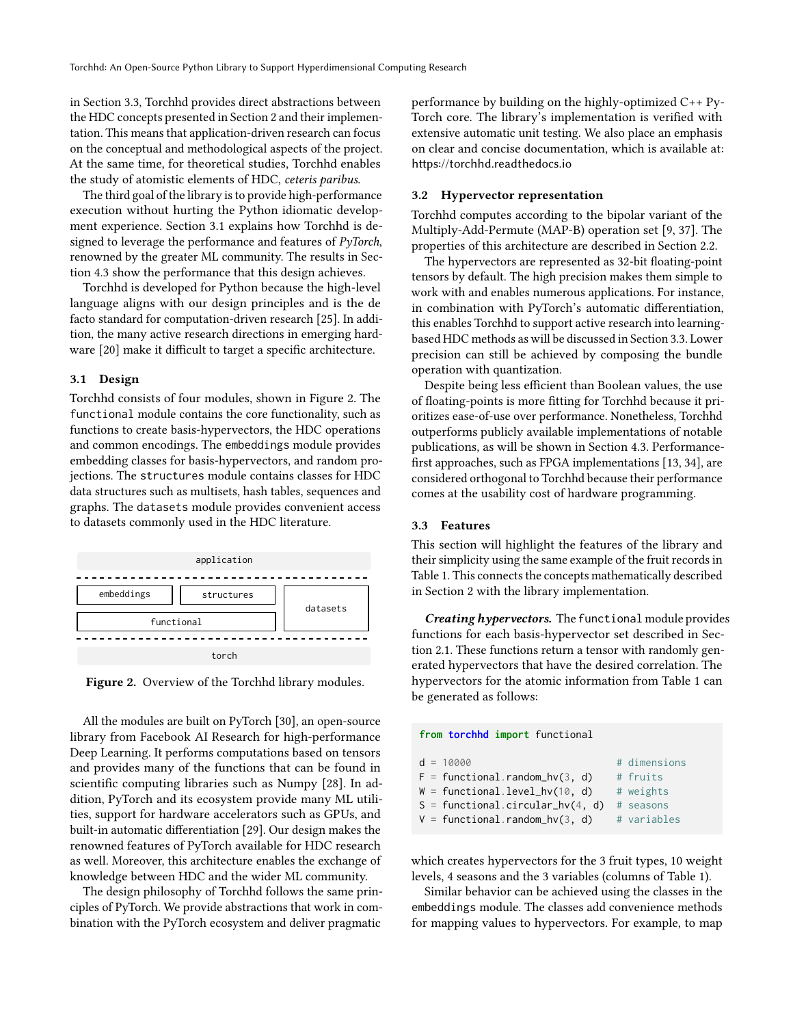in Section [3.3,](#page-4-0) Torchhd provides direct abstractions between the HDC concepts presented in Section [2](#page-1-0) and their implementation. This means that application-driven research can focus on the conceptual and methodological aspects of the project. At the same time, for theoretical studies, Torchhd enables the study of atomistic elements of HDC, ceteris paribus.

The third goal of the library is to provide high-performance execution without hurting the Python idiomatic development experience. Section [3.1](#page-4-1) explains how Torchhd is designed to leverage the performance and features of PyTorch, renowned by the greater ML community. The results in Section [4.3](#page-7-1) show the performance that this design achieves.

Torchhd is developed for Python because the high-level language aligns with our design principles and is the de facto standard for computation-driven research [\[25\]](#page-8-30). In addition, the many active research directions in emerging hardware [\[20\]](#page-8-4) make it difficult to target a specific architecture.

#### <span id="page-4-1"></span>3.1 Design

Torchhd consists of four modules, shown in Figure [2.](#page-4-2) The functional module contains the core functionality, such as functions to create basis-hypervectors, the HDC operations and common encodings. The embeddings module provides embedding classes for basis-hypervectors, and random projections. The structures module contains classes for HDC data structures such as multisets, hash tables, sequences and graphs. The datasets module provides convenient access to datasets commonly used in the HDC literature.

<span id="page-4-2"></span>

Figure 2. Overview of the Torchhd library modules.

All the modules are built on PyTorch [\[30\]](#page-8-31), an open-source library from Facebook AI Research for high-performance Deep Learning. It performs computations based on tensors and provides many of the functions that can be found in scientific computing libraries such as Numpy [\[28\]](#page-8-32). In addition, PyTorch and its ecosystem provide many ML utilities, support for hardware accelerators such as GPUs, and built-in automatic differentiation [\[29\]](#page-8-33). Our design makes the renowned features of PyTorch available for HDC research as well. Moreover, this architecture enables the exchange of knowledge between HDC and the wider ML community.

The design philosophy of Torchhd follows the same principles of PyTorch. We provide abstractions that work in combination with the PyTorch ecosystem and deliver pragmatic

performance by building on the highly-optimized C++ Py-Torch core. The library's implementation is verified with extensive automatic unit testing. We also place an emphasis on clear and concise documentation, which is available at: <https://torchhd.readthedocs.io>

## <span id="page-4-3"></span>3.2 Hypervector representation

Torchhd computes according to the bipolar variant of the Multiply-Add-Permute (MAP-B) operation set [\[9,](#page-8-26) [37\]](#page-8-19). The properties of this architecture are described in Section [2.2.](#page-2-0)

The hypervectors are represented as 32-bit floating-point tensors by default. The high precision makes them simple to work with and enables numerous applications. For instance, in combination with PyTorch's automatic differentiation, this enables Torchhd to support active research into learningbased HDC methods as will be discussed in Section [3.3.](#page-4-0) Lower precision can still be achieved by composing the bundle operation with quantization.

Despite being less efficient than Boolean values, the use of floating-points is more fitting for Torchhd because it prioritizes ease-of-use over performance. Nonetheless, Torchhd outperforms publicly available implementations of notable publications, as will be shown in Section [4.3.](#page-7-1) Performancefirst approaches, such as FPGA implementations [\[13,](#page-8-8) [34\]](#page-8-6), are considered orthogonal to Torchhd because their performance comes at the usability cost of hardware programming.

#### <span id="page-4-0"></span>3.3 Features

This section will highlight the features of the library and their simplicity using the same example of the fruit records in Table [1.](#page-1-1) This connects the concepts mathematically described in Section [2](#page-1-0) with the library implementation.

Creating hypervectors. The functional module provides functions for each basis-hypervector set described in Section [2.1.](#page-1-3) These functions return a tensor with randomly generated hypervectors that have the desired correlation. The hypervectors for the atomic information from Table [1](#page-1-1) can be generated as follows:

| from torchhd import functional     |              |  |  |  |
|------------------------------------|--------------|--|--|--|
| $d = 10000$                        | # dimensions |  |  |  |
| $F = functional.random_hv(3, d)$   | # fruits     |  |  |  |
| $W =$ functional.level_hv(10, d)   | # weights    |  |  |  |
| $S =$ functional.circular_hv(4, d) | # seasons    |  |  |  |
| $V =$ functional.random_hv(3, d)   | # variables  |  |  |  |

which creates hypervectors for the 3 fruit types, 10 weight levels, 4 seasons and the 3 variables (columns of Table [1\)](#page-1-1).

Similar behavior can be achieved using the classes in the embeddings module. The classes add convenience methods for mapping values to hypervectors. For example, to map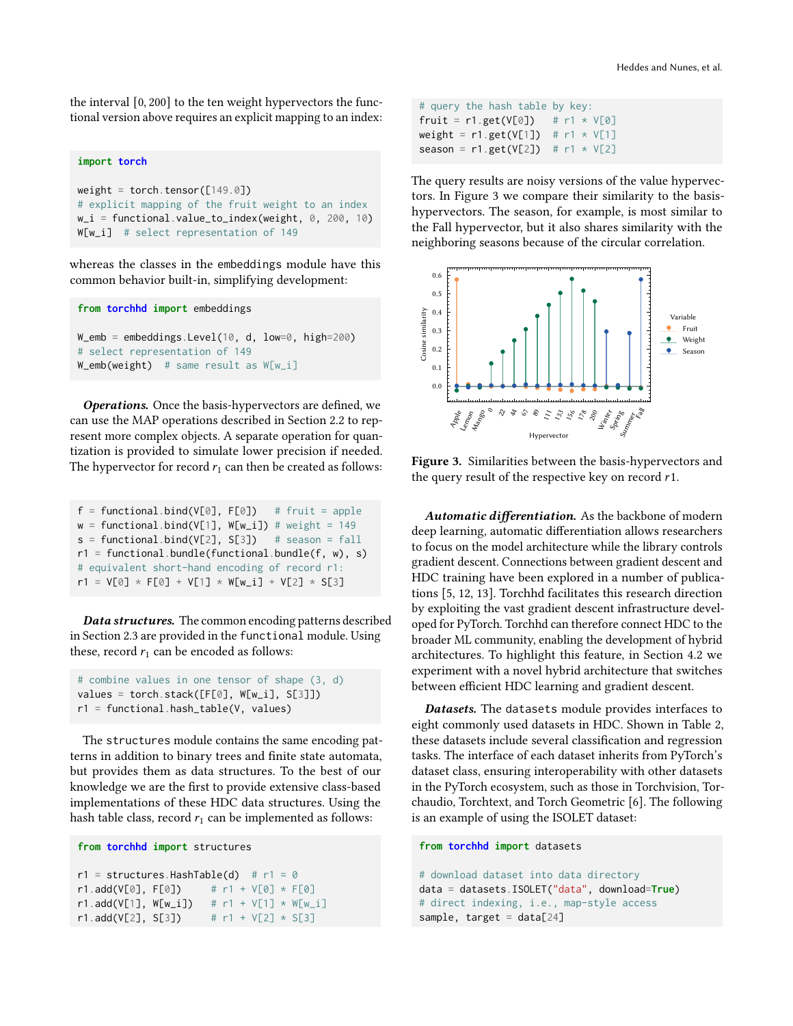the interval [0, 200] to the ten weight hypervectors the functional version above requires an explicit mapping to an index:

#### **import torch**

```
weight = torch.tensor([149.0])
# explicit mapping of the fruit weight to an index
w_i = functional.value_to_index(weight, 0, 200, 10)W[w_i] # select representation of 149
```
whereas the classes in the embeddings module have this common behavior built-in, simplifying development:

```
from torchhd import embeddings
W_{\text{emb}} = \text{embeddings.Level}(10, d, low=0, high=200)# select representation of 149
W_emb(weight) # same result as W[w_i]
```
Operations. Once the basis-hypervectors are defined, we can use the MAP operations described in Section [2.2](#page-2-0) to represent more complex objects. A separate operation for quantization is provided to simulate lower precision if needed. The hypervector for record  $r_1$  can then be created as follows:

```
f = functional.bind(V[0], F[0]) # fruit = apple
w = functional.bind(V[1], W[w_i]) # weight = 149
s = functional.bind(V[2], S[3]) # season = fall
r1 = functional.bundle(functional.bundle(f, w), s)
# equivalent short-hand encoding of record r1:
r1 = V[0] * F[0] + V[1] * W[w_i] + V[2] * S[3]
```
Data structures. The common encoding patterns described in Section [2.3](#page-2-1) are provided in the functional module. Using these, record  $r_1$  can be encoded as follows:

```
# combine values in one tensor of shape (3, d)
values = torch.stack([F[0], W[w_i], S[3]])
r1 = functional.hash_table(V, values)
```
The structures module contains the same encoding patterns in addition to binary trees and finite state automata, but provides them as data structures. To the best of our knowledge we are the first to provide extensive class-based implementations of these HDC data structures. Using the hash table class, record  $r_1$  can be implemented as follows:

```
from torchhd import structures
```

```
r1 = structures. HashTable(d) # r1 = 0r1.add(V[0], F[0]) # r1 + V[0] * F[0]r1.add(V[1], W[w_i]) # r1 + V[1] * W[w_i]r1.add(V[2], S[3]) # r1 + V[2] * S[3]
```
# query the hash table by key: fruit =  $r1.get(V[0])$  #  $r1 * V[0]$ weight =  $r1.get(V[1])$  #  $r1 * V[1]$ season =  $r1.get(V[2])$  #  $r1 * V[2]$ 

The query results are noisy versions of the value hypervectors. In Figure [3](#page-5-0) we compare their similarity to the basishypervectors. The season, for example, is most similar to the Fall hypervector, but it also shares similarity with the neighboring seasons because of the circular correlation.

<span id="page-5-0"></span>

Figure 3. Similarities between the basis-hypervectors and the query result of the respective key on record  $r1$ .

Automatic differentiation. As the backbone of modern deep learning, automatic differentiation allows researchers to focus on the model architecture while the library controls gradient descent. Connections between gradient descent and HDC training have been explored in a number of publications [\[5,](#page-8-34) [12,](#page-8-28) [13\]](#page-8-8). Torchhd facilitates this research direction by exploiting the vast gradient descent infrastructure developed for PyTorch. Torchhd can therefore connect HDC to the broader ML community, enabling the development of hybrid architectures. To highlight this feature, in Section [4.2](#page-6-2) we experiment with a novel hybrid architecture that switches between efficient HDC learning and gradient descent.

Datasets. The datasets module provides interfaces to eight commonly used datasets in HDC. Shown in Table [2,](#page-6-3) these datasets include several classification and regression tasks. The interface of each dataset inherits from PyTorch's dataset class, ensuring interoperability with other datasets in the PyTorch ecosystem, such as those in Torchvision, Torchaudio, Torchtext, and Torch Geometric [\[6\]](#page-8-35). The following is an example of using the ISOLET dataset:

```
from torchhd import datasets
```

```
# download dataset into data directory
data = datasets.ISOLET("data", download=True)
# direct indexing, i.e., map-style access
sample, target = data[24]
```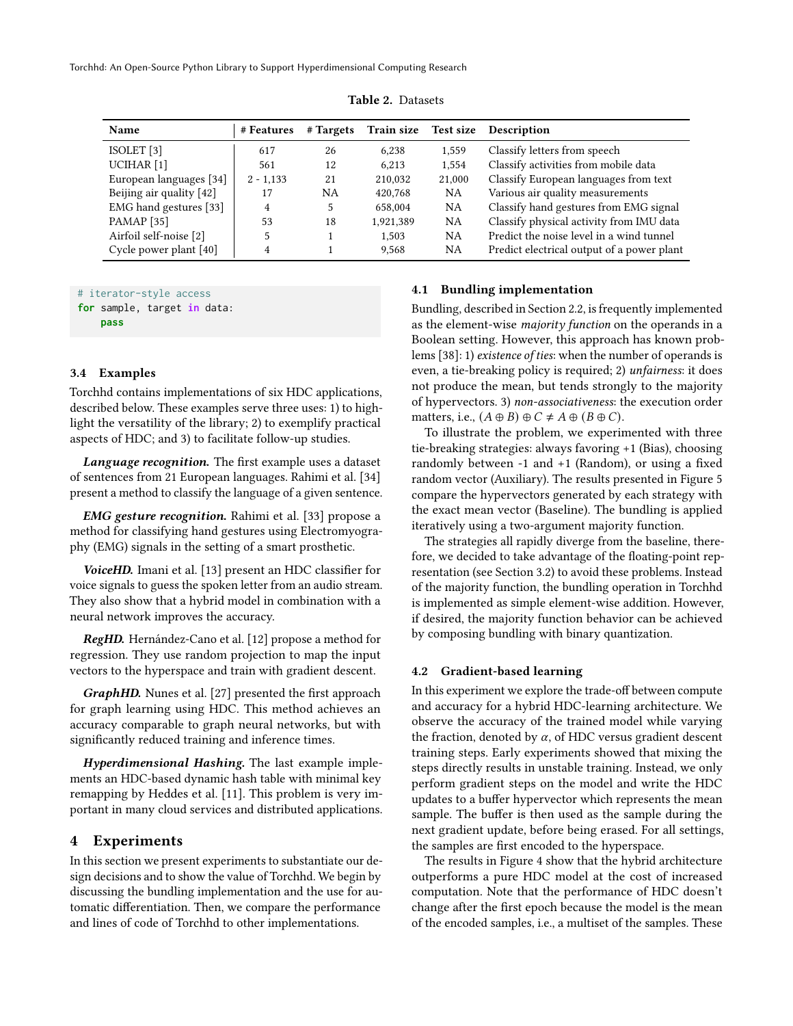<span id="page-6-3"></span>Torchhd: An Open-Source Python Library to Support Hyperdimensional Computing Research

| <b>Name</b>              | # Features  | # Targets | Train size Test size |           | <b>Description</b>                         |
|--------------------------|-------------|-----------|----------------------|-----------|--------------------------------------------|
| ISOLET[3]                | 617         | 26        | 6,238                | 1,559     | Classify letters from speech               |
| UCIHAR <sup>[1]</sup>    | 561         | 12        | 6.213                | 1,554     | Classify activities from mobile data       |
| European languages [34]  | $2 - 1,133$ | 21        | 210,032              | 21,000    | Classify European languages from text      |
| Beijing air quality [42] | 17          | NA        | 420,768              | NA        | Various air quality measurements           |
| EMG hand gestures [33]   | 4           | 5         | 658,004              | NA        | Classify hand gestures from EMG signal     |
| <b>PAMAP</b> [35]        | 53          | 18        | 1,921,389            | NA        | Classify physical activity from IMU data   |
| Airfoil self-noise [2]   |             |           | 1.503                | <b>NA</b> | Predict the noise level in a wind tunnel   |
| Cycle power plant [40]   | 4           |           | 9.568                | NA        | Predict electrical output of a power plant |

Table 2. Datasets

# iterator-style access **for** sample, target **in** data: **pass**

## <span id="page-6-0"></span>3.4 Examples

Torchhd contains implementations of six HDC applications, described below. These examples serve three uses: 1) to highlight the versatility of the library; 2) to exemplify practical aspects of HDC; and 3) to facilitate follow-up studies.

Language recognition. The first example uses a dataset of sentences from 21 European languages. Rahimi et al. [\[34\]](#page-8-6) present a method to classify the language of a given sentence.

EMG gesture recognition. Rahimi et al. [\[33\]](#page-8-9) propose a method for classifying hand gestures using Electromyography (EMG) signals in the setting of a smart prosthetic.

VoiceHD. Imani et al. [\[13\]](#page-8-8) present an HDC classifier for voice signals to guess the spoken letter from an audio stream. They also show that a hybrid model in combination with a neural network improves the accuracy.

RegHD. Hernández-Cano et al. [\[12\]](#page-8-28) propose a method for regression. They use random projection to map the input vectors to the hyperspace and train with gradient descent.

GraphHD. Nunes et al. [\[27\]](#page-8-7) presented the first approach for graph learning using HDC. This method achieves an accuracy comparable to graph neural networks, but with significantly reduced training and inference times.

Hyperdimensional Hashing. The last example implements an HDC-based dynamic hash table with minimal key remapping by Heddes et al. [\[11\]](#page-8-10). This problem is very important in many cloud services and distributed applications.

# <span id="page-6-1"></span>4 Experiments

In this section we present experiments to substantiate our design decisions and to show the value of Torchhd. We begin by discussing the bundling implementation and the use for automatic differentiation. Then, we compare the performance and lines of code of Torchhd to other implementations.

## 4.1 Bundling implementation

Bundling, described in Section [2.2,](#page-2-0) is frequently implemented as the element-wise majority function on the operands in a Boolean setting. However, this approach has known problems [\[38\]](#page-8-42): 1) existence of ties: when the number of operands is even, a tie-breaking policy is required; 2) unfairness: it does not produce the mean, but tends strongly to the majority of hypervectors. 3) non-associativeness: the execution order matters, i.e.,  $(A \oplus B) \oplus C \neq A \oplus (B \oplus C)$ .

To illustrate the problem, we experimented with three tie-breaking strategies: always favoring +1 (Bias), choosing randomly between -1 and +1 (Random), or using a fixed random vector (Auxiliary). The results presented in Figure [5](#page-7-2) compare the hypervectors generated by each strategy with the exact mean vector (Baseline). The bundling is applied iteratively using a two-argument majority function.

The strategies all rapidly diverge from the baseline, therefore, we decided to take advantage of the floating-point representation (see Section [3.2\)](#page-4-3) to avoid these problems. Instead of the majority function, the bundling operation in Torchhd is implemented as simple element-wise addition. However, if desired, the majority function behavior can be achieved by composing bundling with binary quantization.

## <span id="page-6-2"></span>4.2 Gradient-based learning

In this experiment we explore the trade-off between compute and accuracy for a hybrid HDC-learning architecture. We observe the accuracy of the trained model while varying the fraction, denoted by  $\alpha$ , of HDC versus gradient descent training steps. Early experiments showed that mixing the steps directly results in unstable training. Instead, we only perform gradient steps on the model and write the HDC updates to a buffer hypervector which represents the mean sample. The buffer is then used as the sample during the next gradient update, before being erased. For all settings, the samples are first encoded to the hyperspace.

The results in Figure [4](#page-7-3) show that the hybrid architecture outperforms a pure HDC model at the cost of increased computation. Note that the performance of HDC doesn't change after the first epoch because the model is the mean of the encoded samples, i.e., a multiset of the samples. These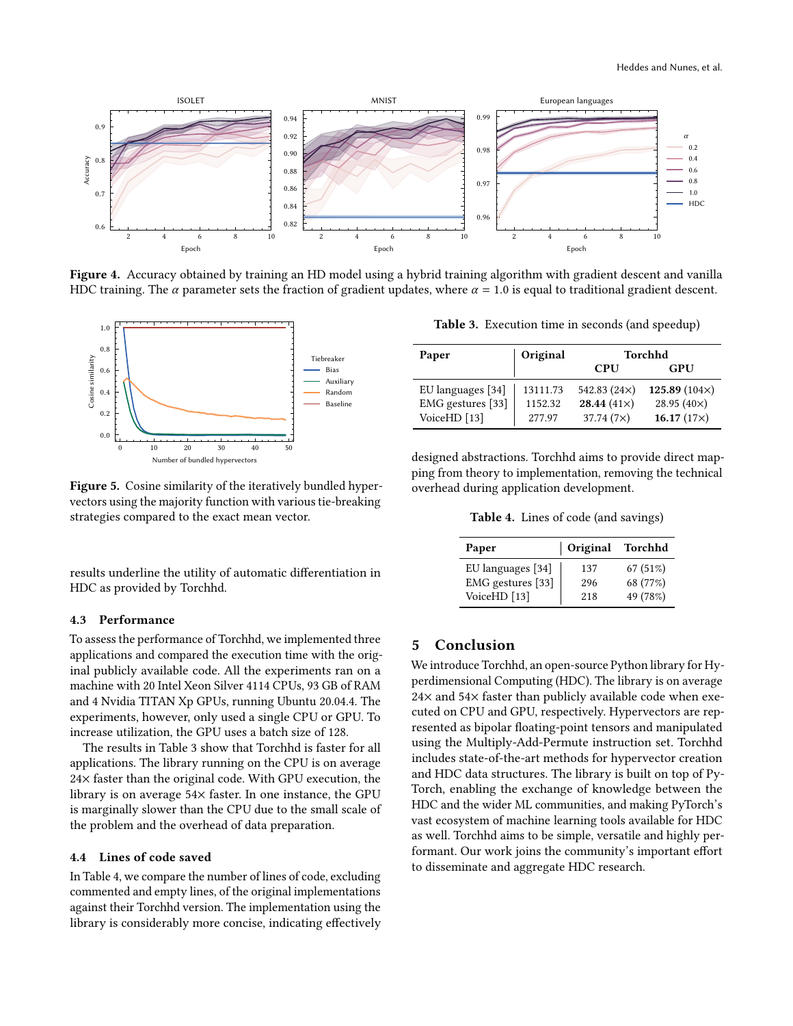<span id="page-7-3"></span>

Figure 4. Accuracy obtained by training an HD model using a hybrid training algorithm with gradient descent and vanilla HDC training. The  $\alpha$  parameter sets the fraction of gradient updates, where  $\alpha = 1.0$  is equal to traditional gradient descent.

<span id="page-7-2"></span>

Figure 5. Cosine similarity of the iteratively bundled hypervectors using the majority function with various tie-breaking strategies compared to the exact mean vector.

results underline the utility of automatic differentiation in HDC as provided by Torchhd.

# <span id="page-7-1"></span>4.3 Performance

To assess the performance of Torchhd, we implemented three applications and compared the execution time with the original publicly available code. All the experiments ran on a machine with 20 Intel Xeon Silver 4114 CPUs, 93 GB of RAM and 4 Nvidia TITAN Xp GPUs, running Ubuntu 20.04.4. The experiments, however, only used a single CPU or GPU. To increase utilization, the GPU uses a batch size of 128.

The results in Table [3](#page-7-4) show that Torchhd is faster for all applications. The library running on the CPU is on average 24× faster than the original code. With GPU execution, the library is on average 54× faster. In one instance, the GPU is marginally slower than the CPU due to the small scale of the problem and the overhead of data preparation.

# 4.4 Lines of code saved

In Table [4,](#page-7-5) we compare the number of lines of code, excluding commented and empty lines, of the original implementations against their Torchhd version. The implementation using the library is considerably more concise, indicating effectively

<span id="page-7-4"></span>Table 3. Execution time in seconds (and speedup)

| Paper                   | Original | Torchhd            |                      |  |
|-------------------------|----------|--------------------|----------------------|--|
|                         |          | <b>CPU</b>         | <b>GPU</b>           |  |
| EU languages [34]       | 13111.73 | 542.83 $(24x)$     | 125.89 $(104\times)$ |  |
| EMG gestures [33]       | 1152.32  | 28.44 $(41\times)$ | 28.95 $(40\times)$   |  |
| VoiceHD <sup>[13]</sup> | 277.97   | $37.74(7\times)$   | 16.17 $(17x)$        |  |

<span id="page-7-5"></span>designed abstractions. Torchhd aims to provide direct mapping from theory to implementation, removing the technical overhead during application development.

Table 4. Lines of code (and savings)

| Paper             | Original | Torchhd  |
|-------------------|----------|----------|
| EU languages [34] | 137      | 67 (51%) |
| EMG gestures [33] | 296      | 68 (77%) |
| VoiceHD [13]      | 218      | 49 (78%) |

# <span id="page-7-0"></span>5 Conclusion

We introduce Torchhd, an open-source Python library for Hyperdimensional Computing (HDC). The library is on average 24× and 54× faster than publicly available code when executed on CPU and GPU, respectively. Hypervectors are represented as bipolar floating-point tensors and manipulated using the Multiply-Add-Permute instruction set. Torchhd includes state-of-the-art methods for hypervector creation and HDC data structures. The library is built on top of Py-Torch, enabling the exchange of knowledge between the HDC and the wider ML communities, and making PyTorch's vast ecosystem of machine learning tools available for HDC as well. Torchhd aims to be simple, versatile and highly performant. Our work joins the community's important effort to disseminate and aggregate HDC research.